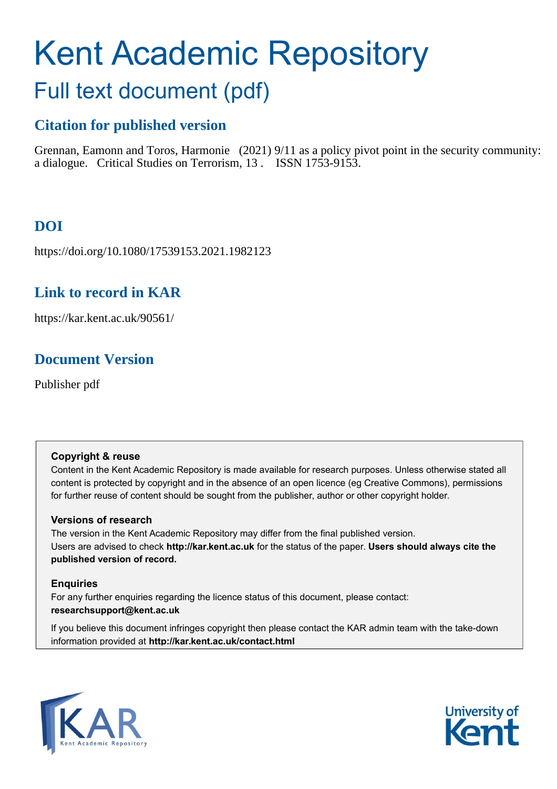# Kent Academic Repository

## Full text document (pdf)

## **Citation for published version**

Grennan, Eamonn and Toros, Harmonie (2021) 9/11 as a policy pivot point in the security community: a dialogue. Critical Studies on Terrorism, 13 . ISSN 1753-9153.

## **DOI**

https://doi.org/10.1080/17539153.2021.1982123

## **Link to record in KAR**

https://kar.kent.ac.uk/90561/

## **Document Version**

Publisher pdf

#### **Copyright & reuse**

Content in the Kent Academic Repository is made available for research purposes. Unless otherwise stated all content is protected by copyright and in the absence of an open licence (eg Creative Commons), permissions for further reuse of content should be sought from the publisher, author or other copyright holder.

#### **Versions of research**

The version in the Kent Academic Repository may differ from the final published version. Users are advised to check **http://kar.kent.ac.uk** for the status of the paper. **Users should always cite the published version of record.**

#### **Enquiries**

For any further enquiries regarding the licence status of this document, please contact: **researchsupport@kent.ac.uk**

If you believe this document infringes copyright then please contact the KAR admin team with the take-down information provided at **http://kar.kent.ac.uk/contact.html**



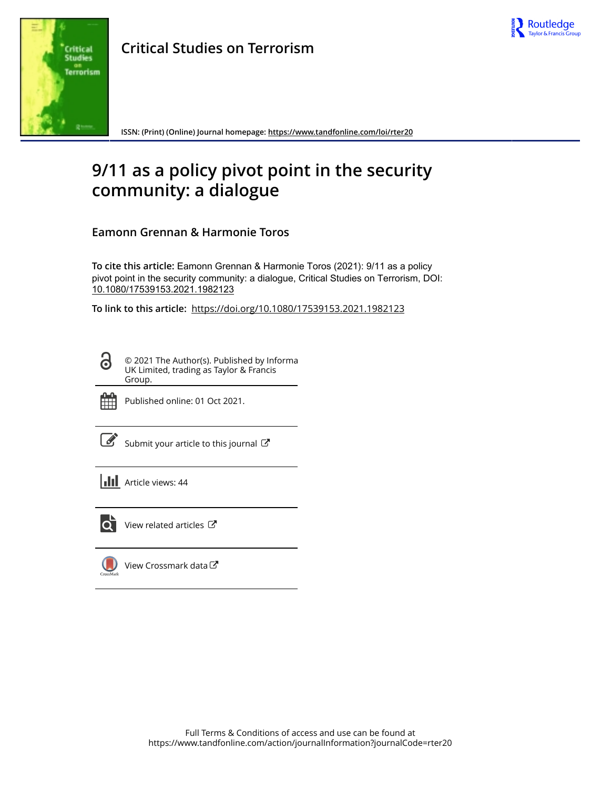



**Critical Studies on Terrorism**

**ISSN: (Print) (Online) Journal homepage:<https://www.tandfonline.com/loi/rter20>**

## **9/11 as a policy pivot point in the security community: a dialogue**

**Eamonn Grennan & Harmonie Toros**

**To cite this article:** Eamonn Grennan & Harmonie Toros (2021): 9/11 as a policy pivot point in the security community: a dialogue, Critical Studies on Terrorism, DOI: [10.1080/17539153.2021.1982123](https://www.tandfonline.com/action/showCitFormats?doi=10.1080/17539153.2021.1982123)

**To link to this article:** <https://doi.org/10.1080/17539153.2021.1982123>

© 2021 The Author(s). Published by Informa UK Limited, trading as Taylor & Francis Group.



ര

Published online: 01 Oct 2021.

[Submit your article to this journal](https://www.tandfonline.com/action/authorSubmission?journalCode=rter20&show=instructions)  $\mathbb{Z}$ 

**III** Article views: 44



 $\overrightarrow{Q}$  [View related articles](https://www.tandfonline.com/doi/mlt/10.1080/17539153.2021.1982123)  $\overrightarrow{C}$ 

 $\bigcup$ [View Crossmark data](http://crossmark.crossref.org/dialog/?doi=10.1080/17539153.2021.1982123&domain=pdf&date_stamp=2021-10-01)<sup>で</sup>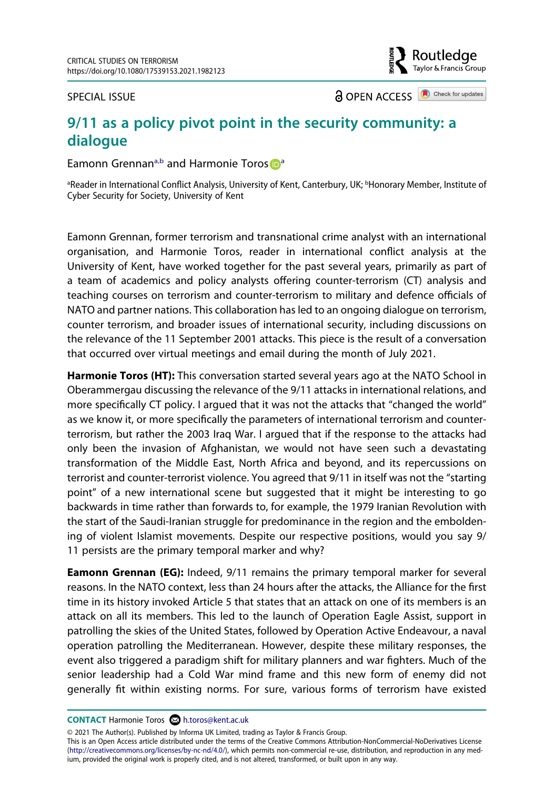SPECIAL ISSUE

**a** OPEN ACCESS **a** Check for updates

outledge} Taylor & Francis Group

### **9/11 as a policy pivot point in the security community: a dialogue**

Eamonn Grennan<[s](http://orcid.org/0000-0002-9139-5292)up>[a](#page--1-0),b</sup> and Harmonie Toros  $\mathbf{D}^{\text{a}}$ 

<sup>a</sup>Reader in International Conflict Analysis, University of Kent, Canterbury, UK; <sup>b</sup>Honorary Member, Institute of Cyber Security for Society, University of Kent

Eamonn Grennan, former terrorism and transnational crime analyst with an international organisation, and Harmonie Toros, reader in international conflict analysis at the University of Kent, have worked together for the past several years, primarily as part of a team of academics and policy analysts offering counter-terrorism (CT) analysis and teaching courses on terrorism and counter-terrorism to military and defence officials of NATO and partner nations. This collaboration has led to an ongoing dialogue on terrorism, counter terrorism, and broader issues of international security, including discussions on the relevance of the 11 September 2001 attacks. This piece is the result of a conversation that occurred over virtual meetings and email during the month of July 2021.

**Harmonie Toros (HT):** This conversation started several years ago at the NATO School in Oberammergau discussing the relevance of the 9/11 attacks in international relations, and more specifically CT policy. I argued that it was not the attacks that "changed the world" as we know it, or more specifically the parameters of international terrorism and counterterrorism, but rather the 2003 Iraq War. I argued that if the response to the attacks had only been the invasion of Afghanistan, we would not have seen such a devastating transformation of the Middle East, North Africa and beyond, and its repercussions on terrorist and counter-terrorist violence. You agreed that 9/11 in itself was not the "starting point" of a new international scene but suggested that it might be interesting to go backwards in time rather than forwards to, for example, the 1979 Iranian Revolution with the start of the Saudi-Iranian struggle for predominance in the region and the emboldening of violent Islamist movements. Despite our respective positions, would you say 9/ 11 persists are the primary temporal marker and why?

**Eamonn Grennan (EG):** Indeed, 9/11 remains the primary temporal marker for several reasons. In the NATO context, less than 24 hours after the attacks, the Alliance for the first time in its history invoked Article 5 that states that an attack on one of its members is an attack on all its members. This led to the launch of Operation Eagle Assist, support in patrolling the skies of the United States, followed by Operation Active Endeavour, a naval operation patrolling the Mediterranean. However, despite these military responses, the event also triggered a paradigm shift for military planners and war fighters. Much of the senior leadership had a Cold War mind frame and this new form of enemy did not generally fit within existing norms. For sure, various forms of terrorism have existed

**CONTACT** Harmonie Toros **i**n.toros@kent.ac.uk

© 2021 The Author(s). Published by Informa UK Limited, trading as Taylor & Francis Group.

This is an Open Access article distributed under the terms of the Creative Commons Attribution-NonCommercial-NoDerivatives License (http://creativecommons.org/licenses/by-nc-nd/4.0/), which permits non-commercial re-use, distribution, and reproduction in any medium, provided the original work is properly cited, and is not altered, transformed, or built upon in any way.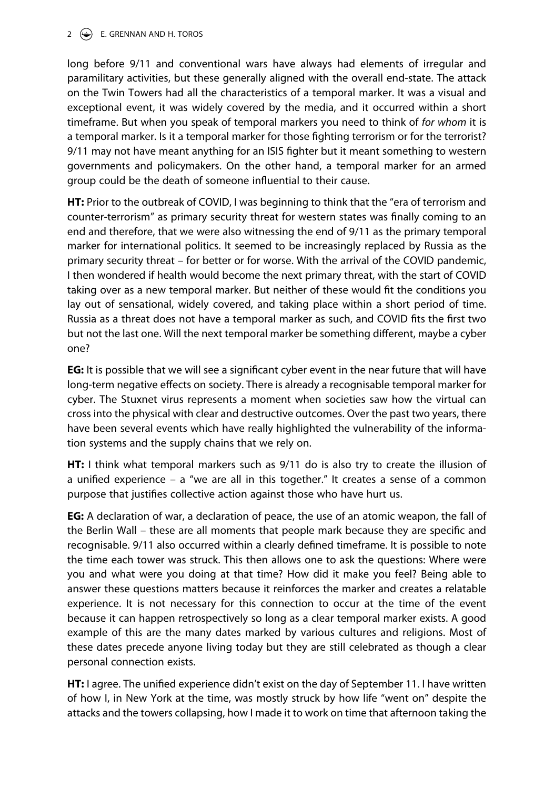#### 2  $\left(\frac{1}{2}\right)$  E. GRENNAN AND H. TOROS

long before 9/11 and conventional wars have always had elements of irregular and paramilitary activities, but these generally aligned with the overall end-state. The attack on the Twin Towers had all the characteristics of a temporal marker. It was a visual and exceptional event, it was widely covered by the media, and it occurred within a short timeframe. But when you speak of temporal markers you need to think of *for whom* it is a temporal marker. Is it a temporal marker for those fighting terrorism or for the terrorist? 9/11 may not have meant anything for an ISIS fighter but it meant something to western governments and policymakers. On the other hand, a temporal marker for an armed group could be the death of someone influential to their cause.

**HT:** Prior to the outbreak of COVID, I was beginning to think that the "era of terrorism and counter-terrorism" as primary security threat for western states was finally coming to an end and therefore, that we were also witnessing the end of 9/11 as the primary temporal marker for international politics. It seemed to be increasingly replaced by Russia as the primary security threat – for better or for worse. With the arrival of the COVID pandemic, I then wondered if health would become the next primary threat, with the start of COVID taking over as a new temporal marker. But neither of these would fit the conditions you lay out of sensational, widely covered, and taking place within a short period of time. Russia as a threat does not have a temporal marker as such, and COVID fits the first two but not the last one. Will the next temporal marker be something different, maybe a cyber one?

**EG:** It is possible that we will see a significant cyber event in the near future that will have long-term negative effects on society. There is already a recognisable temporal marker for cyber. The Stuxnet virus represents a moment when societies saw how the virtual can cross into the physical with clear and destructive outcomes. Over the past two years, there have been several events which have really highlighted the vulnerability of the information systems and the supply chains that we rely on.

**HT:** I think what temporal markers such as 9/11 do is also try to create the illusion of a unified experience – a "we are all in this together." It creates a sense of a common purpose that justifies collective action against those who have hurt us.

**EG:** A declaration of war, a declaration of peace, the use of an atomic weapon, the fall of the Berlin Wall – these are all moments that people mark because they are specific and recognisable. 9/11 also occurred within a clearly defined timeframe. It is possible to note the time each tower was struck. This then allows one to ask the questions: Where were you and what were you doing at that time? How did it make you feel? Being able to answer these questions matters because it reinforces the marker and creates a relatable experience. It is not necessary for this connection to occur at the time of the event because it can happen retrospectively so long as a clear temporal marker exists. A good example of this are the many dates marked by various cultures and religions. Most of these dates precede anyone living today but they are still celebrated as though a clear personal connection exists.

**HT:** I agree. The unified experience didn't exist on the day of September 11. I have written of how I, in New York at the time, was mostly struck by how life "went on" despite the attacks and the towers collapsing, how I made it to work on time that afternoon taking the